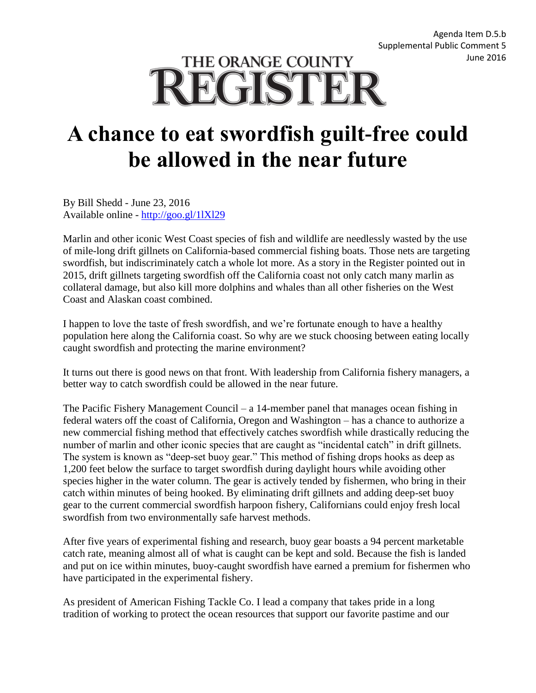## THE ORANGE COUNTY **REGISTER**

## **A chance to eat swordfish guilt-free could be allowed in the near future**

By Bill Shedd - June 23, 2016 Available online - [http://goo.gl/1lXl29](https://urldefense.proofpoint.com/v2/url?u=http-3A__goo.gl_1lXl29&d=CwMFaQ&c=2qwu4RrWzdlNOcmb_drAcw&r=r0_AkZP4xkq8f0GmavDkakplyOfojuSuWBwEha6eIj0&m=XTGtWkBWqY1SpW-MypjCfNetmtsz55E_PBBMahSCavc&s=R2Cv4rdVXIGImMn7untxsW759ID8yeOEgm0TQh1fZBQ&e=)

Marlin and other iconic West Coast species of fish and wildlife are needlessly wasted by the use of mile-long drift gillnets on California-based commercial fishing boats. Those nets are targeting swordfish, but indiscriminately catch a whole lot more. As a story in the Register pointed out in 2015, drift gillnets targeting swordfish off the California coast not only catch many marlin as collateral damage, but also kill more dolphins and whales than all other fisheries on the West Coast and Alaskan coast combined.

I happen to love the taste of fresh swordfish, and we're fortunate enough to have a healthy population here along the California coast. So why are we stuck choosing between eating locally caught swordfish and protecting the marine environment?

It turns out there is good news on that front. With leadership from California fishery managers, a better way to catch swordfish could be allowed in the near future.

The Pacific Fishery Management Council – a 14-member panel that manages ocean fishing in federal waters off the coast of California, Oregon and Washington – has a chance to authorize a new commercial fishing method that effectively catches swordfish while drastically reducing the number of marlin and other iconic species that are caught as "incidental catch" in drift gillnets. The system is known as "deep-set buoy gear." This method of fishing drops hooks as deep as 1,200 feet below the surface to target swordfish during daylight hours while avoiding other species higher in the water column. The gear is actively tended by fishermen, who bring in their catch within minutes of being hooked. By eliminating drift gillnets and adding deep-set buoy gear to the current commercial swordfish harpoon fishery, Californians could enjoy fresh local swordfish from two environmentally safe harvest methods.

After five years of experimental fishing and research, buoy gear boasts a 94 percent marketable catch rate, meaning almost all of what is caught can be kept and sold. Because the fish is landed and put on ice within minutes, buoy-caught swordfish have earned a premium for fishermen who have participated in the experimental fishery.

As president of American Fishing Tackle Co. I lead a company that takes pride in a long tradition of working to protect the ocean resources that support our favorite pastime and our